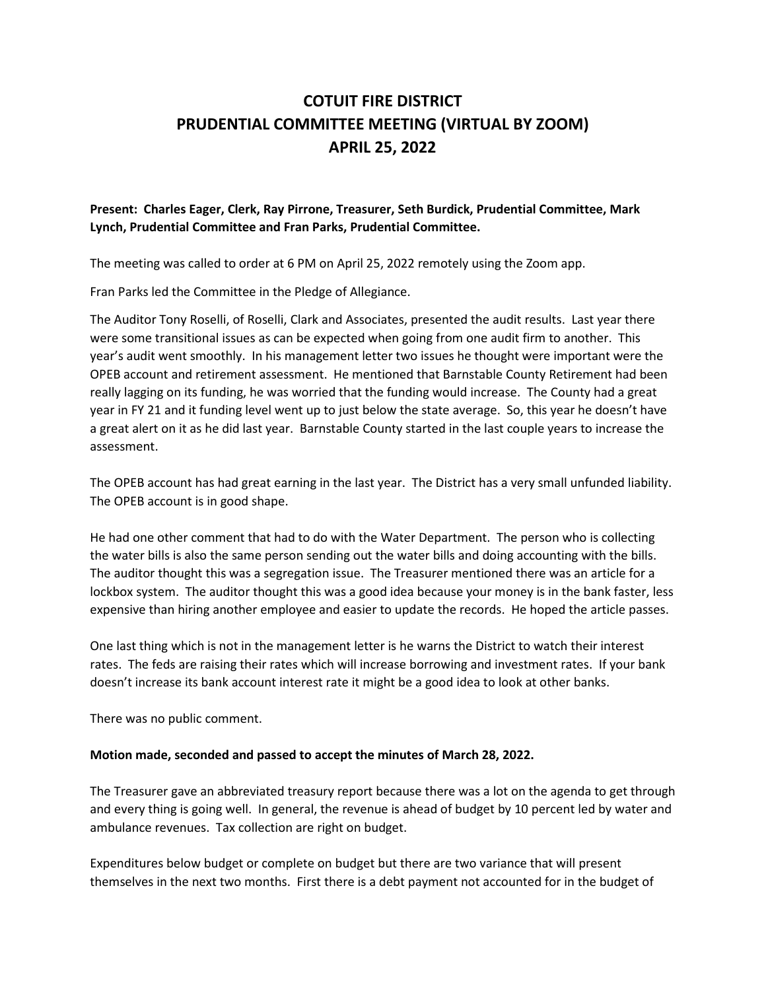## **COTUIT FIRE DISTRICT PRUDENTIAL COMMITTEE MEETING (VIRTUAL BY ZOOM) APRIL 25, 2022**

## **Present: Charles Eager, Clerk, Ray Pirrone, Treasurer, Seth Burdick, Prudential Committee, Mark Lynch, Prudential Committee and Fran Parks, Prudential Committee.**

The meeting was called to order at 6 PM on April 25, 2022 remotely using the Zoom app.

Fran Parks led the Committee in the Pledge of Allegiance.

The Auditor Tony Roselli, of Roselli, Clark and Associates, presented the audit results. Last year there were some transitional issues as can be expected when going from one audit firm to another. This year's audit went smoothly. In his management letter two issues he thought were important were the OPEB account and retirement assessment. He mentioned that Barnstable County Retirement had been really lagging on its funding, he was worried that the funding would increase. The County had a great year in FY 21 and it funding level went up to just below the state average. So, this year he doesn't have a great alert on it as he did last year. Barnstable County started in the last couple years to increase the assessment.

The OPEB account has had great earning in the last year. The District has a very small unfunded liability. The OPEB account is in good shape.

He had one other comment that had to do with the Water Department. The person who is collecting the water bills is also the same person sending out the water bills and doing accounting with the bills. The auditor thought this was a segregation issue. The Treasurer mentioned there was an article for a lockbox system. The auditor thought this was a good idea because your money is in the bank faster, less expensive than hiring another employee and easier to update the records. He hoped the article passes.

One last thing which is not in the management letter is he warns the District to watch their interest rates. The feds are raising their rates which will increase borrowing and investment rates. If your bank doesn't increase its bank account interest rate it might be a good idea to look at other banks.

There was no public comment.

## **Motion made, seconded and passed to accept the minutes of March 28, 2022.**

The Treasurer gave an abbreviated treasury report because there was a lot on the agenda to get through and every thing is going well. In general, the revenue is ahead of budget by 10 percent led by water and ambulance revenues. Tax collection are right on budget.

Expenditures below budget or complete on budget but there are two variance that will present themselves in the next two months. First there is a debt payment not accounted for in the budget of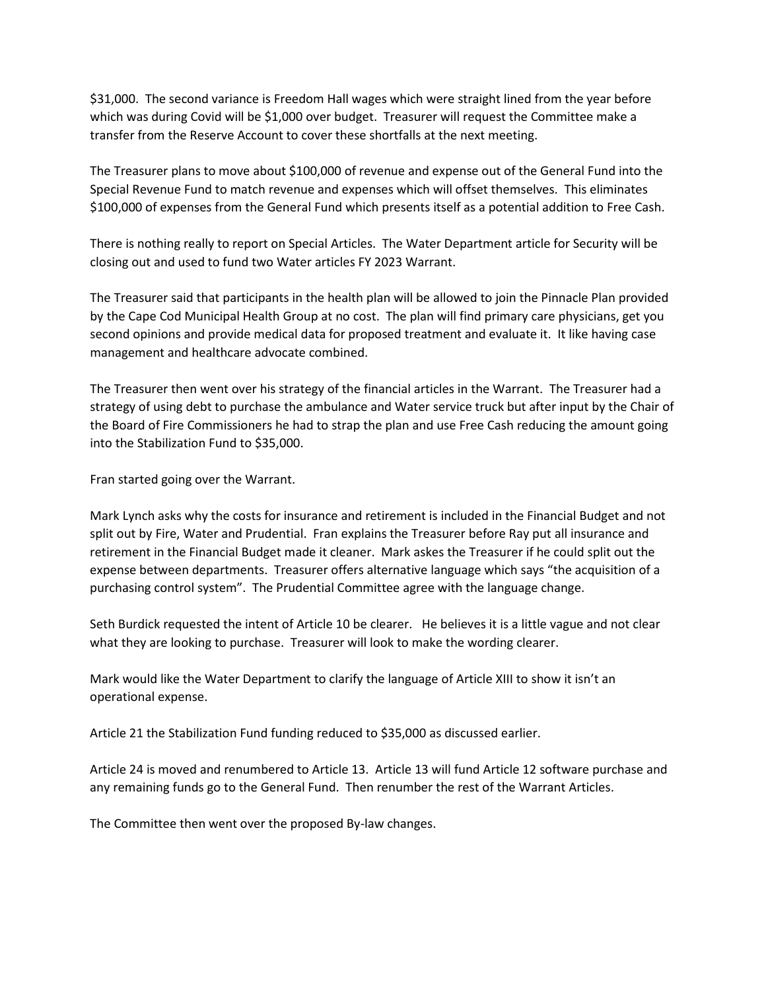\$31,000. The second variance is Freedom Hall wages which were straight lined from the year before which was during Covid will be \$1,000 over budget. Treasurer will request the Committee make a transfer from the Reserve Account to cover these shortfalls at the next meeting.

The Treasurer plans to move about \$100,000 of revenue and expense out of the General Fund into the Special Revenue Fund to match revenue and expenses which will offset themselves. This eliminates \$100,000 of expenses from the General Fund which presents itself as a potential addition to Free Cash.

There is nothing really to report on Special Articles. The Water Department article for Security will be closing out and used to fund two Water articles FY 2023 Warrant.

The Treasurer said that participants in the health plan will be allowed to join the Pinnacle Plan provided by the Cape Cod Municipal Health Group at no cost. The plan will find primary care physicians, get you second opinions and provide medical data for proposed treatment and evaluate it. It like having case management and healthcare advocate combined.

The Treasurer then went over his strategy of the financial articles in the Warrant. The Treasurer had a strategy of using debt to purchase the ambulance and Water service truck but after input by the Chair of the Board of Fire Commissioners he had to strap the plan and use Free Cash reducing the amount going into the Stabilization Fund to \$35,000.

Fran started going over the Warrant.

Mark Lynch asks why the costs for insurance and retirement is included in the Financial Budget and not split out by Fire, Water and Prudential. Fran explains the Treasurer before Ray put all insurance and retirement in the Financial Budget made it cleaner. Mark askes the Treasurer if he could split out the expense between departments. Treasurer offers alternative language which says "the acquisition of a purchasing control system". The Prudential Committee agree with the language change.

Seth Burdick requested the intent of Article 10 be clearer. He believes it is a little vague and not clear what they are looking to purchase. Treasurer will look to make the wording clearer.

Mark would like the Water Department to clarify the language of Article XIII to show it isn't an operational expense.

Article 21 the Stabilization Fund funding reduced to \$35,000 as discussed earlier.

Article 24 is moved and renumbered to Article 13. Article 13 will fund Article 12 software purchase and any remaining funds go to the General Fund. Then renumber the rest of the Warrant Articles.

The Committee then went over the proposed By-law changes.